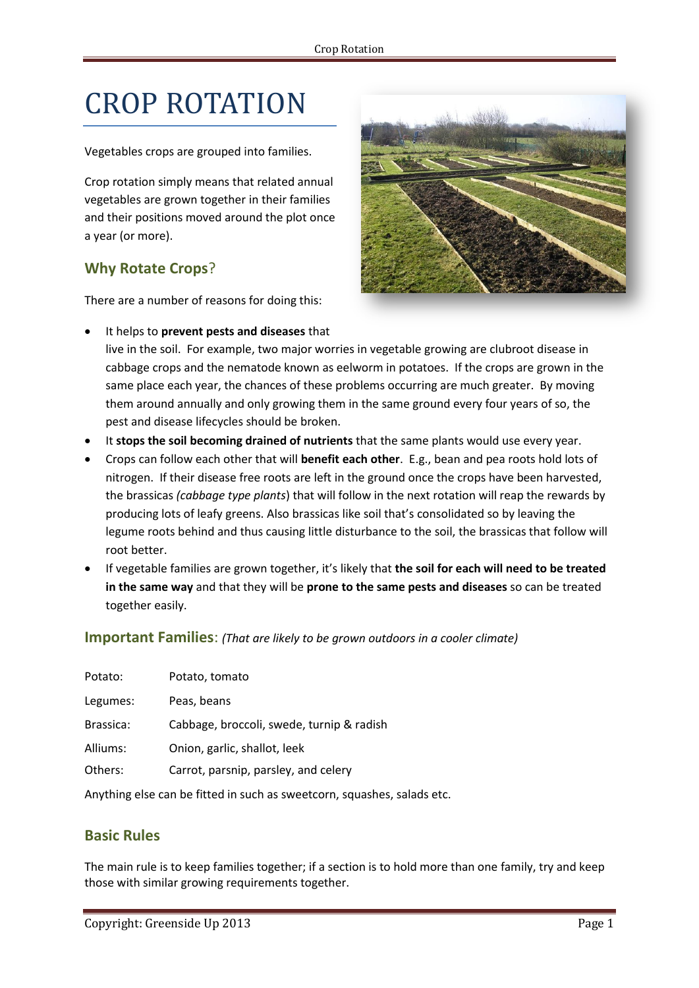# CROP ROTATION

Vegetables crops are grouped into families.

Crop rotation simply means that related annual vegetables are grown together in their families and their positions moved around the plot once a year (or more).

## **Why Rotate Crops**?

There are a number of reasons for doing this:

It helps to **prevent pests and diseases** that



- live in the soil. For example, two major worries in vegetable growing are clubroot disease in cabbage crops and the nematode known as eelworm in potatoes. If the crops are grown in the same place each year, the chances of these problems occurring are much greater. By moving them around annually and only growing them in the same ground every four years of so, the pest and disease lifecycles should be broken.
- It **stops the soil becoming drained of nutrients** that the same plants would use every year.
- Crops can follow each other that will **benefit each other**. E.g., bean and pea roots hold lots of nitrogen. If their disease free roots are left in the ground once the crops have been harvested, the brassicas *(cabbage type plants*) that will follow in the next rotation will reap the rewards by producing lots of leafy greens. Also brassicas like soil that's consolidated so by leaving the legume roots behind and thus causing little disturbance to the soil, the brassicas that follow will root better.
- If vegetable families are grown together, it's likely that **the soil for each will need to be treated in the same way** and that they will be **prone to the same pests and diseases** so can be treated together easily.

#### **Important Families**: *(That are likely to be grown outdoors in a cooler climate)*

| Potato:   | Potato, tomato                            |
|-----------|-------------------------------------------|
| Legumes:  | Peas, beans                               |
| Brassica: | Cabbage, broccoli, swede, turnip & radish |
| Alliums:  | Onion, garlic, shallot, leek              |
| Others:   | Carrot, parsnip, parsley, and celery      |

Anything else can be fitted in such as sweetcorn, squashes, salads etc.

### **Basic Rules**

The main rule is to keep families together; if a section is to hold more than one family, try and keep those with similar growing requirements together.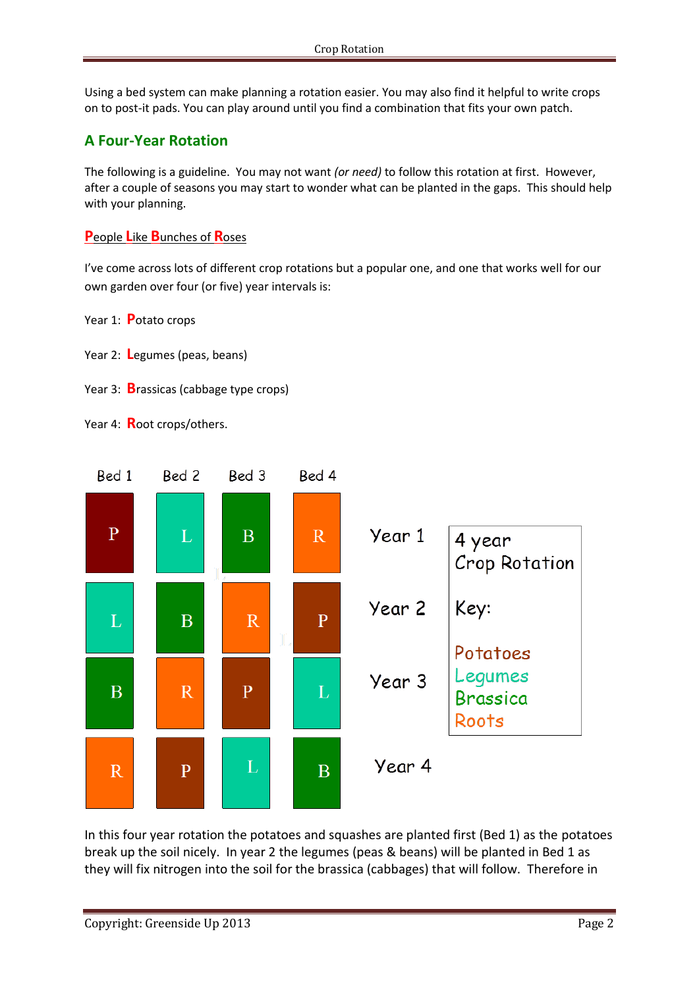Using a bed system can make planning a rotation easier. You may also find it helpful to write crops on to post-it pads. You can play around until you find a combination that fits your own patch.

## **A Four-Year Rotation**

The following is a guideline. You may not want *(or need)* to follow this rotation at first. However, after a couple of seasons you may start to wonder what can be planted in the gaps. This should help with your planning.

### **P**eople **L**ike **B**unches of **R**oses

I've come across lots of different crop rotations but a popular one, and one that works well for our own garden over four (or five) year intervals is:

Year 1: **P**otato crops

- Year 2: **L**egumes (peas, beans)
- Year 3: **B**rassicas (cabbage type crops)

Year 4: **R**oot crops/others.



In this four year rotation the potatoes and squashes are planted first (Bed 1) as the potatoes break up the soil nicely. In year 2 the legumes (peas & beans) will be planted in Bed 1 as they will fix nitrogen into the soil for the brassica (cabbages) that will follow. Therefore in